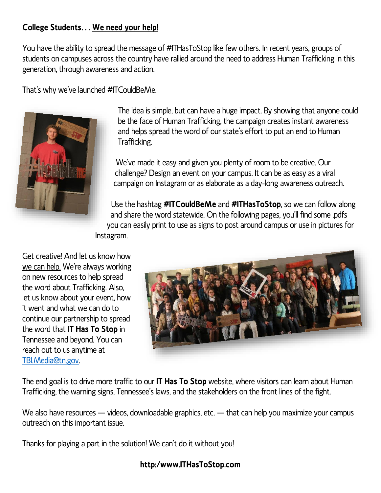## **College Students… We need your help!**

You have the ability to spread the message of #ITHasToStop like few others. In recent years, groups of students on campuses across the country have rallied around the need to address Human Trafficking in this generation, through awareness and action.

That's why we've launched #ITCouldBeMe.



The idea is simple, but can have a huge impact. By showing that anyone could be the face of Human Trafficking, the campaign creates instant awareness and helps spread the word of our state's effort to put an end to Human Trafficking.

We've made it easy and given you plenty of room to be creative. Our challenge? Design an event on your campus. It can be as easy as a viral campaign on Instagram or as elaborate as a day-long awareness outreach.

Use the hashtag **#ITCouldBeMe** and **#ITHasToStop**, so we can follow along and share the word statewide. On the following pages, you'll find some .pdfs you can easily print to use as signs to post around campus or use in pictures for Instagram.

Get creative! And let us know how we can help. We're always working on new resources to help spread the word about Trafficking. Also, let us know about your event, how it went and what we can do to continue our partnership to spread the word that **IT Has To Stop** in Tennessee and beyond. You can reach out to us anytime at [TBI.Media@tn.gov.](mailto:TBI.Media@tn.gov)



The end goal is to drive more traffic to our **IT Has To Stop** website, where visitors can learn about Human Trafficking, the warning signs, Tennessee's laws, and the stakeholders on the front lines of the fight.

We also have resources — videos, downloadable graphics, etc. — that can help you maximize your campus outreach on this important issue.

Thanks for playing a part in the solution! We can't do it without you!

## **http:/www.ITHasToStop.com**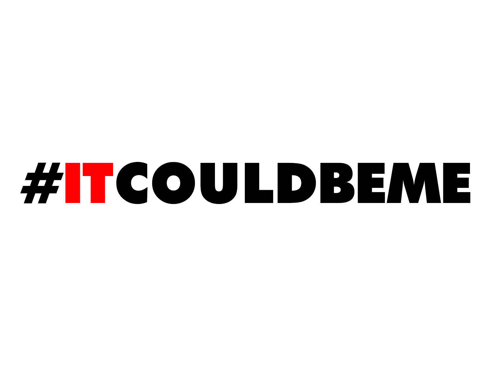## #ITCOULDBEME